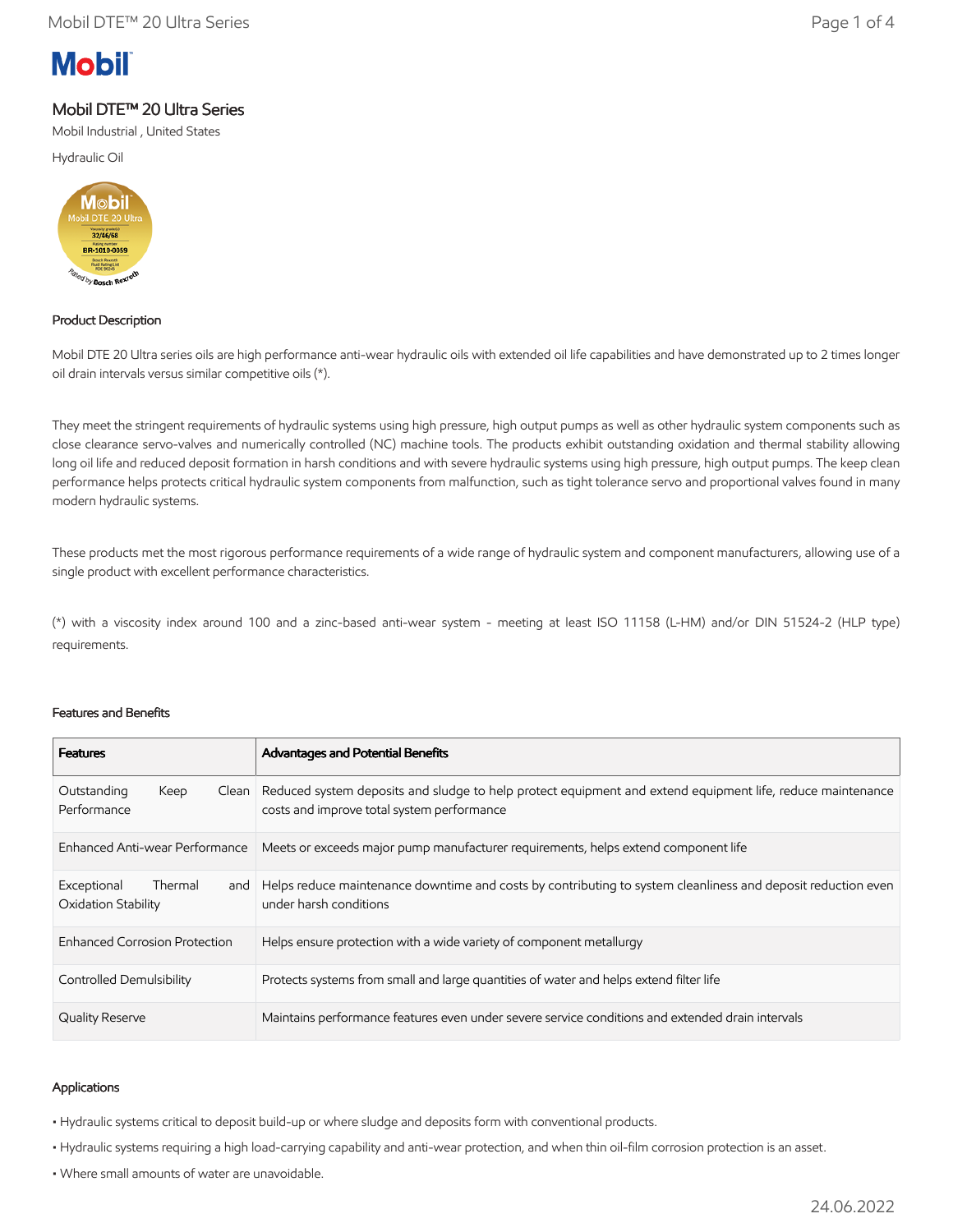# **Mobil**

# Mobil DTE™ 20 Ultra Series

Mobil Industrial , United States

Hydraulic Oil



## Product Description

Mobil DTE 20 Ultra series oils are high performance anti-wear hydraulic oils with extended oil life capabilities and have demonstrated up to 2 times longer oil drain intervals versus similar competitive oils (\*).

They meet the stringent requirements of hydraulic systems using high pressure, high output pumps as well as other hydraulic system components such as close clearance servo-valves and numerically controlled (NC) machine tools. The products exhibit outstanding oxidation and thermal stability allowing long oil life and reduced deposit formation in harsh conditions and with severe hydraulic systems using high pressure, high output pumps. The keep clean performance helps protects critical hydraulic system components from malfunction, such as tight tolerance servo and proportional valves found in many modern hydraulic systems.

These products met the most rigorous performance requirements of a wide range of hydraulic system and component manufacturers, allowing use of a single product with excellent performance characteristics.

(\*) with a viscosity index around 100 and a zinc-based anti-wear system - meeting at least ISO 11158 (L-HM) and/or DIN 51524-2 (HLP type) requirements.

### Features and Benefits

| <b>Features</b>                                      | Advantages and Potential Benefits                                                                                                                        |
|------------------------------------------------------|----------------------------------------------------------------------------------------------------------------------------------------------------------|
| Outstanding<br>Keep<br>Clean<br>Performance          | Reduced system deposits and sludge to help protect equipment and extend equipment life, reduce maintenance<br>costs and improve total system performance |
| Enhanced Anti-wear Performance                       | Meets or exceeds major pump manufacturer requirements, helps extend component life                                                                       |
| Thermal<br>Exceptional<br>and<br>Oxidation Stability | Helps reduce maintenance downtime and costs by contributing to system cleanliness and deposit reduction even<br>under harsh conditions                   |
| <b>Enhanced Corrosion Protection</b>                 | Helps ensure protection with a wide variety of component metallurgy                                                                                      |
| <b>Controlled Demulsibility</b>                      | Protects systems from small and large quantities of water and helps extend filter life                                                                   |
| <b>Quality Reserve</b>                               | Maintains performance features even under severe service conditions and extended drain intervals                                                         |

### Applications

• Hydraulic systems critical to deposit build-up or where sludge and deposits form with conventional products.

- Hydraulic systems requiring a high load-carrying capability and anti-wear protection, and when thin oil-film corrosion protection is an asset.
- Where small amounts of water are unavoidable.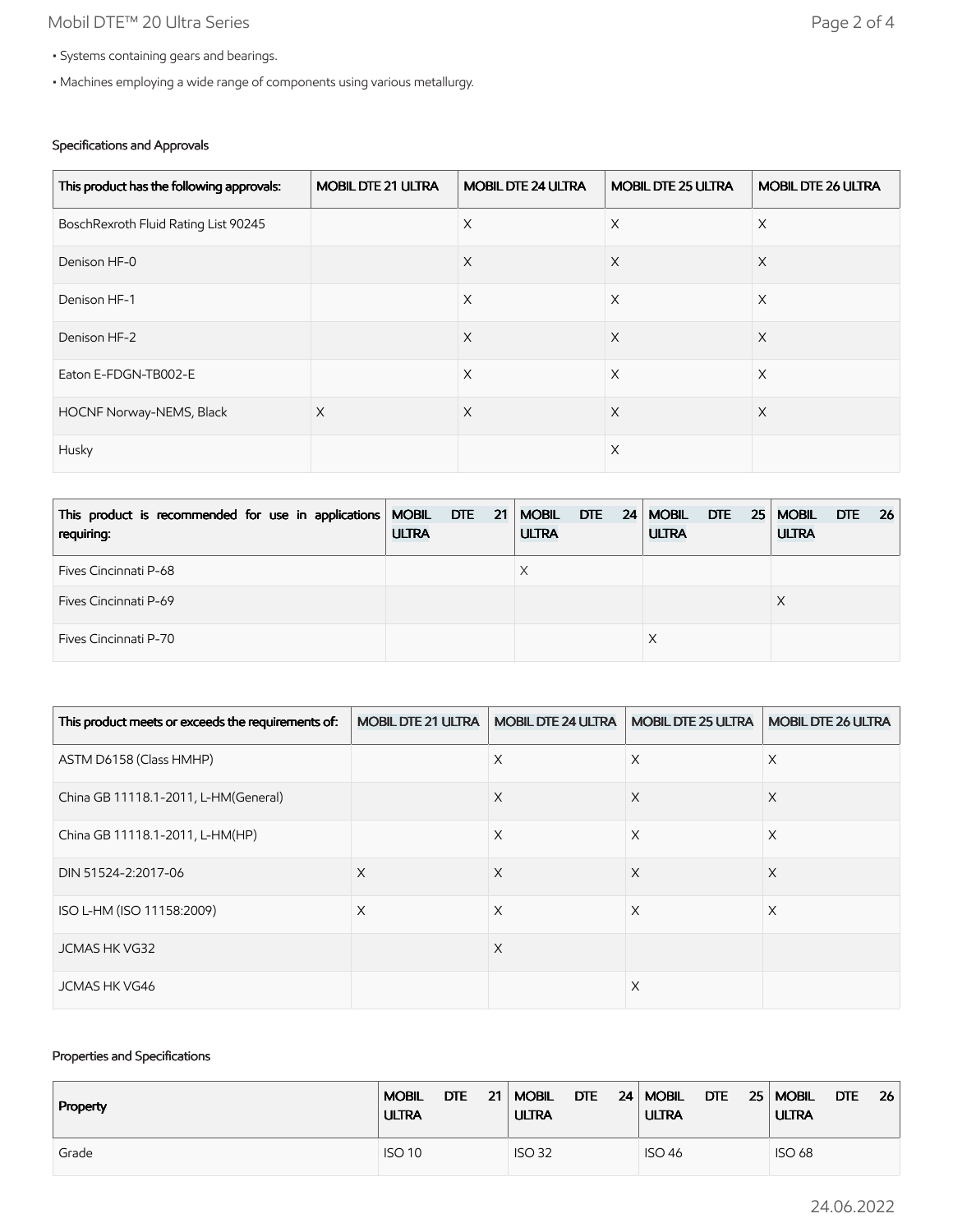# Mobil DTE™ 20 Ultra Series **Page 2 of 4**

- Systems containing gears and bearings.
- Machines employing a wide range of components using various metallurgy.

## Specifications and Approvals

| This product has the following approvals: | <b>MOBIL DTE 21 ULTRA</b> | <b>MOBIL DTE 24 ULTRA</b> | <b>MOBIL DTE 25 ULTRA</b> | <b>MOBIL DTE 26 ULTRA</b> |
|-------------------------------------------|---------------------------|---------------------------|---------------------------|---------------------------|
| BoschRexroth Fluid Rating List 90245      |                           | $\times$                  | $\times$                  | X                         |
| Denison HF-0                              |                           | $\times$                  | $\times$                  | $\times$                  |
| Denison HF-1                              |                           | $\times$                  | $\times$                  | $\times$                  |
| Denison HF-2                              |                           | $\times$                  | $\times$                  | $\times$                  |
| Eaton E-FDGN-TB002-E                      |                           | $\times$                  | $\times$                  | $\times$                  |
| HOCNF Norway-NEMS, Black                  | $\times$                  | $\times$                  | $\times$                  | $\times$                  |
| Husky                                     |                           |                           | X                         |                           |

| This product is recommended for use in applications MOBIL DTE 21   MOBIL DTE 24  <br>requiring: | <b>ULTRA</b> |  | <b>ULTRA</b> |  | <b>MOBIL</b><br><b>ULTRA</b> |  | $DTE$ 25   MOBIL<br><b>ULTRA</b> | DTE . | $-26$ |
|-------------------------------------------------------------------------------------------------|--------------|--|--------------|--|------------------------------|--|----------------------------------|-------|-------|
| Fives Cincinnati P-68                                                                           |              |  |              |  |                              |  |                                  |       |       |
| <b>Fives Cincinnati P-69</b>                                                                    |              |  |              |  |                              |  |                                  |       |       |
| Fives Cincinnati P-70                                                                           |              |  |              |  |                              |  |                                  |       |       |

| This product meets or exceeds the requirements of: | <b>MOBIL DTE 21 ULTRA</b> | <b>MOBIL DTE 24 ULTRA</b> | <b>MOBIL DTE 25 ULTRA</b> | <b>MOBIL DTE 26 ULTRA</b> |
|----------------------------------------------------|---------------------------|---------------------------|---------------------------|---------------------------|
| ASTM D6158 (Class HMHP)                            |                           | X                         | X                         | X                         |
| China GB 11118.1-2011, L-HM(General)               |                           | X                         | X                         | X                         |
| China GB 11118.1-2011, L-HM(HP)                    |                           | X                         | X                         | X                         |
| DIN 51524-2:2017-06                                | X                         | X                         | X                         | X                         |
| ISO L-HM (ISO 11158:2009)                          | X                         | X                         | X                         | X                         |
| <b>JCMAS HK VG32</b>                               |                           | X                         |                           |                           |
| <b>JCMAS HK VG46</b>                               |                           |                           | X                         |                           |

## Properties and Specifications

| Property | DTE           | <b>DTE</b>    | 24   MOBIL       | <b>DTE</b>    |
|----------|---------------|---------------|------------------|---------------|
|          | <b>MOBIL</b>  | 21   MOBIL    | $DTE$ 25   MOBIL | 26            |
|          | <b>ULTRA</b>  | <b>ULTRA</b>  | <b>ULTRA</b>     | <b>ULTRA</b>  |
| Grade    | <b>ISO 10</b> | <b>ISO 32</b> | <b>ISO 46</b>    | <b>ISO 68</b> |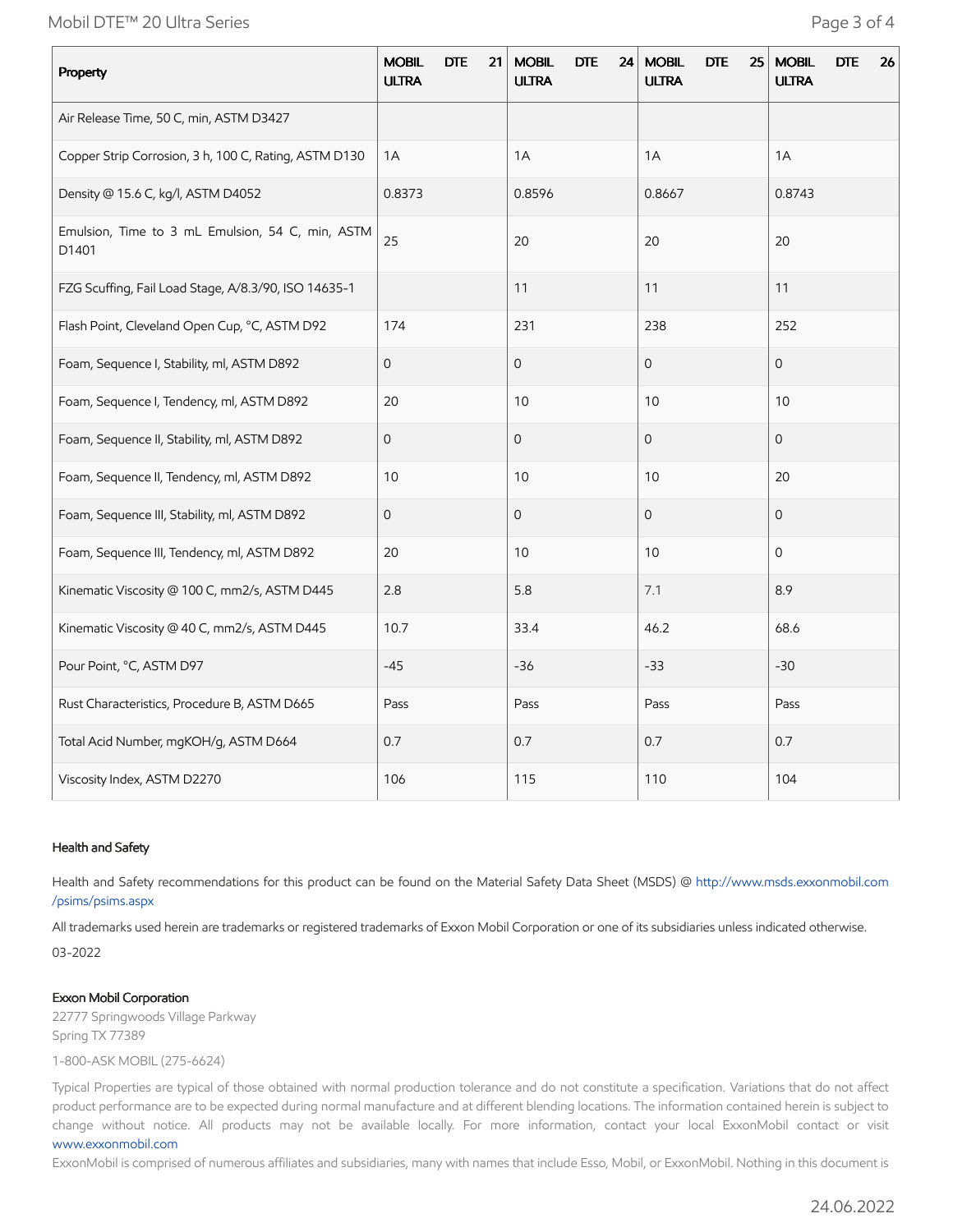Mobil DTE™ 20 Ultra Series **Page 3 of 4** 

| Property                                                  | <b>MOBIL</b><br><b>DTE</b><br>21<br><b>ULTRA</b> | <b>MOBIL</b><br><b>DTE</b><br>24<br><b>ULTRA</b> | <b>MOBIL</b><br><b>DTE</b><br>25<br><b>ULTRA</b> | <b>MOBIL</b><br><b>DTE</b><br>26<br><b>ULTRA</b> |
|-----------------------------------------------------------|--------------------------------------------------|--------------------------------------------------|--------------------------------------------------|--------------------------------------------------|
| Air Release Time, 50 C, min, ASTM D3427                   |                                                  |                                                  |                                                  |                                                  |
| Copper Strip Corrosion, 3 h, 100 C, Rating, ASTM D130     | 1A                                               | 1A                                               | 1A                                               | 1A                                               |
| Density @ 15.6 C, kg/l, ASTM D4052                        | 0.8373                                           | 0.8596                                           | 0.8667                                           | 0.8743                                           |
| Emulsion, Time to 3 mL Emulsion, 54 C, min, ASTM<br>D1401 | 25                                               | 20                                               | 20                                               | 20                                               |
| FZG Scuffing, Fail Load Stage, A/8.3/90, ISO 14635-1      |                                                  | 11                                               | 11                                               | 11                                               |
| Flash Point, Cleveland Open Cup, °C, ASTM D92             | 174                                              | 231                                              | 238                                              | 252                                              |
| Foam, Sequence I, Stability, ml, ASTM D892                | $\overline{0}$                                   | $\overline{O}$                                   | $\overline{0}$                                   | $\overline{O}$                                   |
| Foam, Sequence I, Tendency, ml, ASTM D892                 | 20                                               | 10                                               | 10                                               | 10                                               |
| Foam, Sequence II, Stability, ml, ASTM D892               | $\mathsf{O}$                                     | $\mathsf{O}\xspace$                              | $\mathbf 0$                                      | $\mathbf 0$                                      |
| Foam, Sequence II, Tendency, ml, ASTM D892                | 10                                               | 10                                               | 10                                               | 20                                               |
| Foam, Sequence III, Stability, ml, ASTM D892              | $\mathsf{O}$                                     | $\mathsf{O}\xspace$                              | $\Omega$                                         | $\mathbf 0$                                      |
| Foam, Sequence III, Tendency, ml, ASTM D892               | 20                                               | 10                                               | 10                                               | $\mathbf{O}$                                     |
| Kinematic Viscosity @ 100 C, mm2/s, ASTM D445             | 2.8                                              | 5.8                                              | 7.1                                              | 8.9                                              |
| Kinematic Viscosity @ 40 C, mm2/s, ASTM D445              | 10.7                                             | 33.4                                             | 46.2                                             | 68.6                                             |
| Pour Point, °C, ASTM D97                                  | $-45$                                            | $-36$                                            | $-33$                                            | $-30$                                            |
| Rust Characteristics, Procedure B, ASTM D665              | Pass                                             | Pass                                             | Pass                                             | Pass                                             |
| Total Acid Number, mgKOH/g, ASTM D664                     | 0.7                                              | 0.7                                              | 0.7                                              | 0.7                                              |
| Viscosity Index, ASTM D2270                               | 106                                              | 115                                              | 110                                              | 104                                              |

### Health and Safety

Health and Safety recommendations for this product can be found on the Material Safety Data Sheet (MSDS) @ [http://www.msds.exxonmobil.com](http://www.msds.exxonmobil.com/psims/psims.aspx) /psims/psims.aspx

All trademarks used herein are trademarks or registered trademarks of Exxon Mobil Corporation or one of its subsidiaries unless indicated otherwise.

03-2022

### Exxon Mobil Corporation

22777 Springwoods Village Parkway Spring TX 77389

1-800-ASK MOBIL (275-6624)

Typical Properties are typical of those obtained with normal production tolerance and do not constitute a specification. Variations that do not affect product performance are to be expected during normal manufacture and at different blending locations. The information contained herein is subject to change without notice. All products may not be available locally. For more information, contact your local ExxonMobil contact or visit [www.exxonmobil.com](http://www.exxonmobil.com/)

ExxonMobil is comprised of numerous affiliates and subsidiaries, many with names that include Esso, Mobil, or ExxonMobil. Nothing in this document is